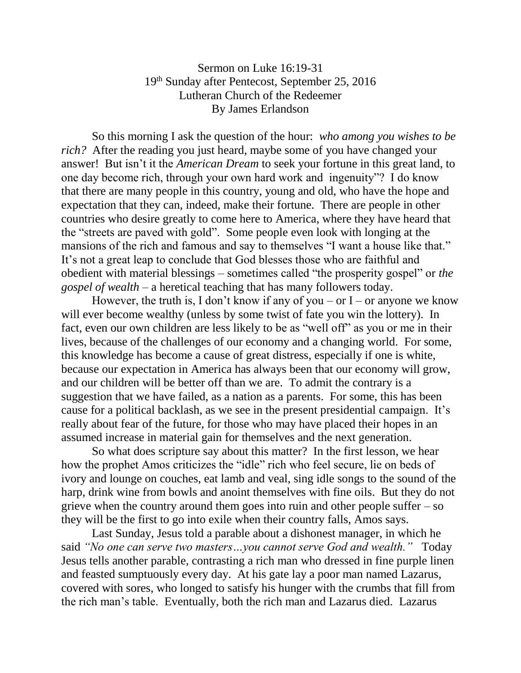## Sermon on Luke 16:19-31 19th Sunday after Pentecost, September 25, 2016 Lutheran Church of the Redeemer By James Erlandson

So this morning I ask the question of the hour: *who among you wishes to be rich?* After the reading you just heard, maybe some of you have changed your answer! But isn't it the *American Dream* to seek your fortune in this great land, to one day become rich, through your own hard work and ingenuity"? I do know that there are many people in this country, young and old, who have the hope and expectation that they can, indeed, make their fortune. There are people in other countries who desire greatly to come here to America, where they have heard that the "streets are paved with gold". Some people even look with longing at the mansions of the rich and famous and say to themselves "I want a house like that." It's not a great leap to conclude that God blesses those who are faithful and obedient with material blessings – sometimes called "the prosperity gospel" or *the gospel of wealth* – a heretical teaching that has many followers today.

However, the truth is, I don't know if any of you – or I – or anyone we know will ever become wealthy (unless by some twist of fate you win the lottery). In fact, even our own children are less likely to be as "well off" as you or me in their lives, because of the challenges of our economy and a changing world. For some, this knowledge has become a cause of great distress, especially if one is white, because our expectation in America has always been that our economy will grow, and our children will be better off than we are. To admit the contrary is a suggestion that we have failed, as a nation as a parents. For some, this has been cause for a political backlash, as we see in the present presidential campaign. It's really about fear of the future, for those who may have placed their hopes in an assumed increase in material gain for themselves and the next generation.

So what does scripture say about this matter? In the first lesson, we hear how the prophet Amos criticizes the "idle" rich who feel secure, lie on beds of ivory and lounge on couches, eat lamb and veal, sing idle songs to the sound of the harp, drink wine from bowls and anoint themselves with fine oils. But they do not grieve when the country around them goes into ruin and other people suffer – so they will be the first to go into exile when their country falls, Amos says.

Last Sunday, Jesus told a parable about a dishonest manager, in which he said *"No one can serve two masters…you cannot serve God and wealth."* Today Jesus tells another parable, contrasting a rich man who dressed in fine purple linen and feasted sumptuously every day. At his gate lay a poor man named Lazarus, covered with sores, who longed to satisfy his hunger with the crumbs that fill from the rich man's table. Eventually, both the rich man and Lazarus died. Lazarus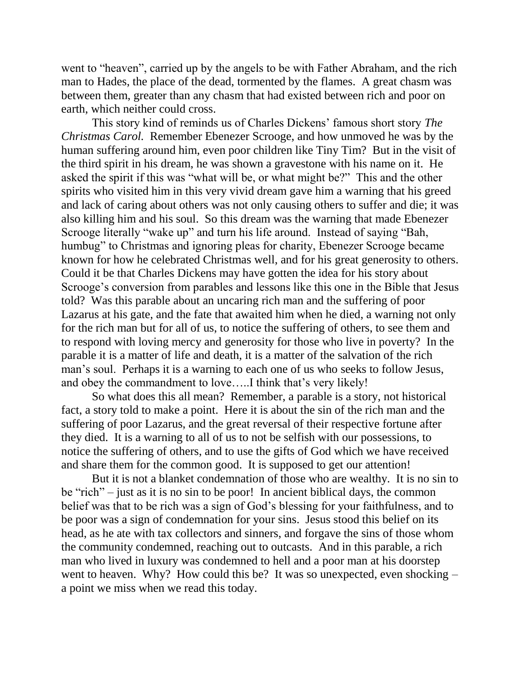went to "heaven", carried up by the angels to be with Father Abraham, and the rich man to Hades, the place of the dead, tormented by the flames. A great chasm was between them, greater than any chasm that had existed between rich and poor on earth, which neither could cross.

This story kind of reminds us of Charles Dickens' famous short story *The Christmas Carol.* Remember Ebenezer Scrooge, and how unmoved he was by the human suffering around him, even poor children like Tiny Tim? But in the visit of the third spirit in his dream, he was shown a gravestone with his name on it. He asked the spirit if this was "what will be, or what might be?" This and the other spirits who visited him in this very vivid dream gave him a warning that his greed and lack of caring about others was not only causing others to suffer and die; it was also killing him and his soul. So this dream was the warning that made Ebenezer Scrooge literally "wake up" and turn his life around. Instead of saying "Bah, humbug" to Christmas and ignoring pleas for charity, Ebenezer Scrooge became known for how he celebrated Christmas well, and for his great generosity to others. Could it be that Charles Dickens may have gotten the idea for his story about Scrooge's conversion from parables and lessons like this one in the Bible that Jesus told? Was this parable about an uncaring rich man and the suffering of poor Lazarus at his gate, and the fate that awaited him when he died, a warning not only for the rich man but for all of us, to notice the suffering of others, to see them and to respond with loving mercy and generosity for those who live in poverty? In the parable it is a matter of life and death, it is a matter of the salvation of the rich man's soul. Perhaps it is a warning to each one of us who seeks to follow Jesus, and obey the commandment to love…..I think that's very likely!

So what does this all mean? Remember, a parable is a story, not historical fact, a story told to make a point. Here it is about the sin of the rich man and the suffering of poor Lazarus, and the great reversal of their respective fortune after they died. It is a warning to all of us to not be selfish with our possessions, to notice the suffering of others, and to use the gifts of God which we have received and share them for the common good. It is supposed to get our attention!

But it is not a blanket condemnation of those who are wealthy. It is no sin to be "rich" – just as it is no sin to be poor! In ancient biblical days, the common belief was that to be rich was a sign of God's blessing for your faithfulness, and to be poor was a sign of condemnation for your sins. Jesus stood this belief on its head, as he ate with tax collectors and sinners, and forgave the sins of those whom the community condemned, reaching out to outcasts. And in this parable, a rich man who lived in luxury was condemned to hell and a poor man at his doorstep went to heaven. Why? How could this be? It was so unexpected, even shocking – a point we miss when we read this today.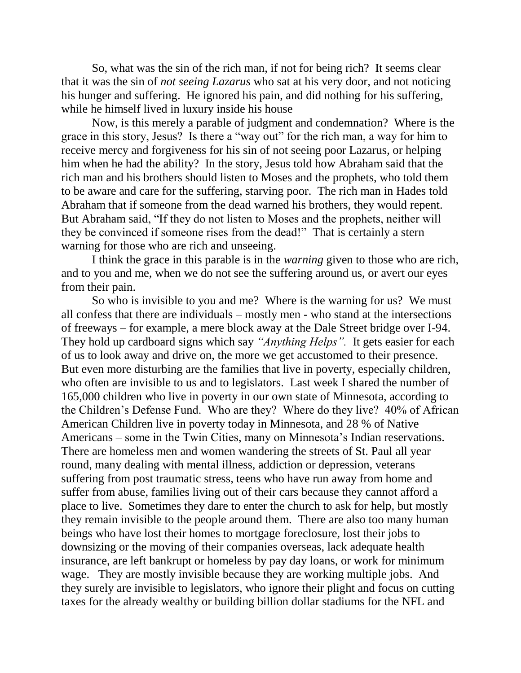So, what was the sin of the rich man, if not for being rich? It seems clear that it was the sin of *not seeing Lazarus* who sat at his very door, and not noticing his hunger and suffering. He ignored his pain, and did nothing for his suffering, while he himself lived in luxury inside his house

Now, is this merely a parable of judgment and condemnation? Where is the grace in this story, Jesus? Is there a "way out" for the rich man, a way for him to receive mercy and forgiveness for his sin of not seeing poor Lazarus, or helping him when he had the ability? In the story, Jesus told how Abraham said that the rich man and his brothers should listen to Moses and the prophets, who told them to be aware and care for the suffering, starving poor. The rich man in Hades told Abraham that if someone from the dead warned his brothers, they would repent. But Abraham said, "If they do not listen to Moses and the prophets, neither will they be convinced if someone rises from the dead!" That is certainly a stern warning for those who are rich and unseeing.

I think the grace in this parable is in the *warning* given to those who are rich, and to you and me, when we do not see the suffering around us, or avert our eyes from their pain.

So who is invisible to you and me? Where is the warning for us? We must all confess that there are individuals – mostly men - who stand at the intersections of freeways – for example, a mere block away at the Dale Street bridge over I-94. They hold up cardboard signs which say *"Anything Helps".* It gets easier for each of us to look away and drive on, the more we get accustomed to their presence. But even more disturbing are the families that live in poverty, especially children, who often are invisible to us and to legislators. Last week I shared the number of 165,000 children who live in poverty in our own state of Minnesota, according to the Children's Defense Fund. Who are they? Where do they live? 40% of African American Children live in poverty today in Minnesota, and 28 % of Native Americans – some in the Twin Cities, many on Minnesota's Indian reservations. There are homeless men and women wandering the streets of St. Paul all year round, many dealing with mental illness, addiction or depression, veterans suffering from post traumatic stress, teens who have run away from home and suffer from abuse, families living out of their cars because they cannot afford a place to live. Sometimes they dare to enter the church to ask for help, but mostly they remain invisible to the people around them. There are also too many human beings who have lost their homes to mortgage foreclosure, lost their jobs to downsizing or the moving of their companies overseas, lack adequate health insurance, are left bankrupt or homeless by pay day loans, or work for minimum wage. They are mostly invisible because they are working multiple jobs. And they surely are invisible to legislators, who ignore their plight and focus on cutting taxes for the already wealthy or building billion dollar stadiums for the NFL and